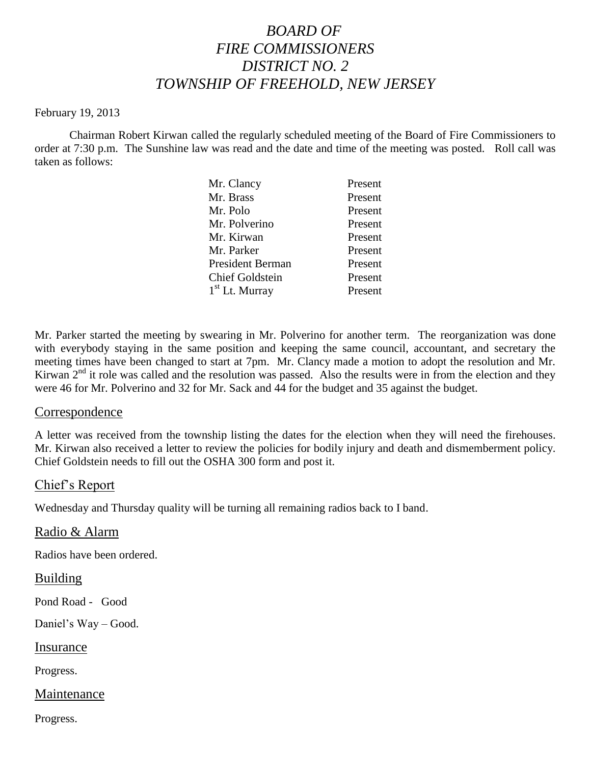# *BOARD OF FIRE COMMISSIONERS DISTRICT NO. 2 TOWNSHIP OF FREEHOLD, NEW JERSEY*

#### February 19, 2013

Chairman Robert Kirwan called the regularly scheduled meeting of the Board of Fire Commissioners to order at 7:30 p.m. The Sunshine law was read and the date and time of the meeting was posted. Roll call was taken as follows:

| Mr. Clancy              | Present |
|-------------------------|---------|
| Mr. Brass               | Present |
| Mr. Polo                | Present |
| Mr. Polverino           | Present |
| Mr. Kirwan              | Present |
| Mr. Parker              | Present |
| <b>President Berman</b> | Present |
| <b>Chief Goldstein</b>  | Present |
| $1st$ Lt. Murray        | Present |

Mr. Parker started the meeting by swearing in Mr. Polverino for another term. The reorganization was done with everybody staying in the same position and keeping the same council, accountant, and secretary the meeting times have been changed to start at 7pm. Mr. Clancy made a motion to adopt the resolution and Mr. Kirwan  $2<sup>nd</sup>$  it role was called and the resolution was passed. Also the results were in from the election and they were 46 for Mr. Polverino and 32 for Mr. Sack and 44 for the budget and 35 against the budget.

#### Correspondence

A letter was received from the township listing the dates for the election when they will need the firehouses. Mr. Kirwan also received a letter to review the policies for bodily injury and death and dismemberment policy. Chief Goldstein needs to fill out the OSHA 300 form and post it.

#### Chief's Report

Wednesday and Thursday quality will be turning all remaining radios back to I band.

Radio & Alarm

Radios have been ordered.

#### Building

Pond Road - Good

Daniel's Way – Good.

#### Insurance

Progress.

#### Maintenance

Progress.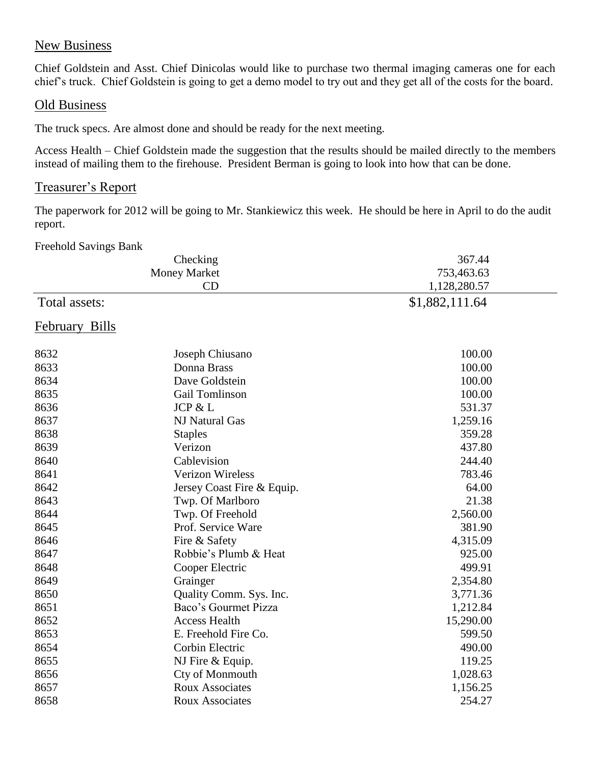# New Business

Chief Goldstein and Asst. Chief Dinicolas would like to purchase two thermal imaging cameras one for each chief's truck. Chief Goldstein is going to get a demo model to try out and they get all of the costs for the board.

### Old Business

The truck specs. Are almost done and should be ready for the next meeting.

Access Health – Chief Goldstein made the suggestion that the results should be mailed directly to the members instead of mailing them to the firehouse. President Berman is going to look into how that can be done.

### Treasurer's Report

The paperwork for 2012 will be going to Mr. Stankiewicz this week. He should be here in April to do the audit report.

Freehold Savings Bank

| $1$ rectional buying built |                            |                |
|----------------------------|----------------------------|----------------|
|                            | Checking                   | 367.44         |
|                            | <b>Money Market</b>        | 753,463.63     |
|                            | CD                         | 1,128,280.57   |
| Total assets:              |                            | \$1,882,111.64 |
| February Bills             |                            |                |
| 8632                       | Joseph Chiusano            | 100.00         |
| 8633                       | Donna Brass                | 100.00         |
| 8634                       | Dave Goldstein             | 100.00         |
| 8635                       | Gail Tomlinson             | 100.00         |
| 8636                       | JCP & L                    | 531.37         |
| 8637                       | NJ Natural Gas             | 1,259.16       |
| 8638                       | <b>Staples</b>             | 359.28         |
| 8639                       | Verizon                    | 437.80         |
| 8640                       | Cablevision                | 244.40         |
| 8641                       | <b>Verizon Wireless</b>    | 783.46         |
| 8642                       | Jersey Coast Fire & Equip. | 64.00          |
| 8643                       | Twp. Of Marlboro           | 21.38          |
| 8644                       | Twp. Of Freehold           | 2,560.00       |
| 8645                       | Prof. Service Ware         | 381.90         |
| 8646                       | Fire & Safety              | 4,315.09       |
| 8647                       | Robbie's Plumb & Heat      | 925.00         |
| 8648                       | Cooper Electric            | 499.91         |
| 8649                       | Grainger                   | 2,354.80       |
| 8650                       | Quality Comm. Sys. Inc.    | 3,771.36       |
| 8651                       | Baco's Gourmet Pizza       | 1,212.84       |
| 8652                       | <b>Access Health</b>       | 15,290.00      |
| 8653                       | E. Freehold Fire Co.       | 599.50         |
| 8654                       | Corbin Electric            | 490.00         |
| 8655                       | NJ Fire & Equip.           | 119.25         |
| 8656                       | Cty of Monmouth            | 1,028.63       |
| 8657                       | <b>Roux Associates</b>     | 1,156.25       |
| 8658                       | <b>Roux Associates</b>     | 254.27         |